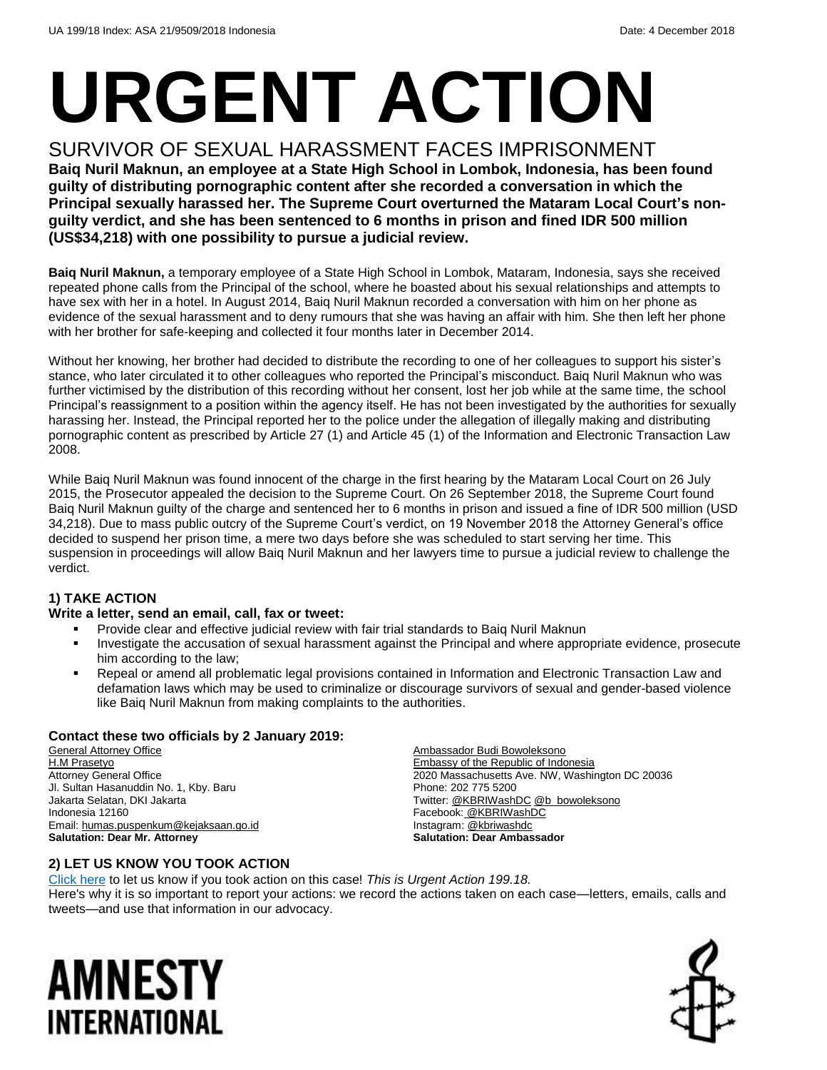# **URGENT ACTION**

SURVIVOR OF SEXUAL HARASSMENT FACES IMPRISONMENT **Baiq Nuril Maknun, an employee at a State High School in Lombok, Indonesia, has been found guilty of distributing pornographic content after she recorded a conversation in which the Principal sexually harassed her. The Supreme Court overturned the Mataram Local Court's nonguilty verdict, and she has been sentenced to 6 months in prison and fined IDR 500 million (US\$34,218) with one possibility to pursue a judicial review.**

**Baiq Nuril Maknun,** a temporary employee of a State High School in Lombok, Mataram, Indonesia, says she received repeated phone calls from the Principal of the school, where he boasted about his sexual relationships and attempts to have sex with her in a hotel. In August 2014, Baiq Nuril Maknun recorded a conversation with him on her phone as evidence of the sexual harassment and to deny rumours that she was having an affair with him. She then left her phone with her brother for safe-keeping and collected it four months later in December 2014.

Without her knowing, her brother had decided to distribute the recording to one of her colleagues to support his sister's stance, who later circulated it to other colleagues who reported the Principal's misconduct. Baiq Nuril Maknun who was further victimised by the distribution of this recording without her consent, lost her job while at the same time, the school Principal's reassignment to a position within the agency itself. He has not been investigated by the authorities for sexually harassing her. Instead, the Principal reported her to the police under the allegation of illegally making and distributing pornographic content as prescribed by Article 27 (1) and Article 45 (1) of the Information and Electronic Transaction Law 2008.

While Baiq Nuril Maknun was found innocent of the charge in the first hearing by the Mataram Local Court on 26 July 2015, the Prosecutor appealed the decision to the Supreme Court. On 26 September 2018, the Supreme Court found Baiq Nuril Maknun guilty of the charge and sentenced her to 6 months in prison and issued a fine of IDR 500 million (USD 34,218). Due to mass public outcry of the Supreme Court's verdict, on 19 November 2018 the Attorney General's office decided to suspend her prison time, a mere two days before she was scheduled to start serving her time. This suspension in proceedings will allow Baiq Nuril Maknun and her lawyers time to pursue a judicial review to challenge the verdict.

#### **1) TAKE ACTION**

#### **Write a letter, send an email, call, fax or tweet:**

- Provide clear and effective judicial review with fair trial standards to Baiq Nuril Maknun
- Investigate the accusation of sexual harassment against the Principal and where appropriate evidence, prosecute him according to the law;
- Repeal or amend all problematic legal provisions contained in Information and Electronic Transaction Law and defamation laws which may be used to criminalize or discourage survivors of sexual and gender-based violence like Baiq Nuril Maknun from making complaints to the authorities.

#### **Contact these two officials by 2 January 2019:**

**General Attorney Office** H.M Prasetyo Attorney General Office Jl. Sultan Hasanuddin No. 1, Kby. Baru Jakarta Selatan, DKI Jakarta Indonesia 12160 Email[: humas.puspenkum@kejaksaan.go.id](mailto:humas.puspenkum@kejaksaan.go.id) **Salutation: Dear Mr. Attorney**

Ambassador Budi Bowoleksono Embassy of the Republic of Indonesia 2020 Massachusetts Ave. NW, Washington DC 20036 Phone: 202 775 5200 Twitter[: @KBRIWashDC](https://twitter.com/KBRIWashDC?ref_src=twsrc%5Egoogle%7Ctwcamp%5Eserp%7Ctwgr%5Eauthor) [@b\\_bowoleksono](https://twitter.com/b_bowoleksono?lang=en) Facebook: [@KBRIWashDC](https://www.facebook.com/KBRIWashDC/) Instagram: [@kbriwashdc](https://www.instagram.com/kbriwashdc/?hl=en) **Salutation: Dear Ambassador**

#### **2) LET US KNOW YOU TOOK ACTION**

[Click here](https://www.amnestyusa.org/report-urgent-actions/) to let us know if you took action on this case! *This is Urgent Action 199.18.* Here's why it is so important to report your actions: we record the actions taken on each case—letters, emails, calls and tweets—and use that information in our advocacy.